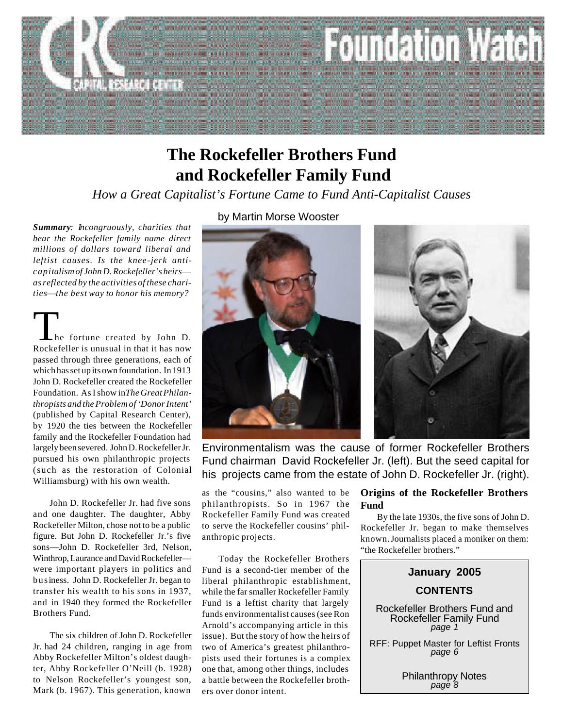

# **and Rockefeller Family Fund The Rockefeller Brothers Fund**

*How a Great Capitalist's Fortune Came to Fund Anti-Capitalist Causes*

*Summary: Incongruously, charities that bear the Rockefeller family name direct millions of dollars toward liberal and leftist causes. Is the knee-jerk anticapitalism of John D. Rockefeller's heirs as reflected by the activities of these charities*—*the best way to honor his memory?*

 he fortune created by John D. The fortune created by John D.<br>Rockefeller is unusual in that it has now passed through three generations, each of which has set up its own foundation. In 1913 John D. Rockefeller created the Rockefeller Foundation. As I show in *The Great Philanthropists and the Problem of 'Donor Intent'* (published by Capital Research Center), by 1920 the ties between the Rockefeller family and the Rockefeller Foundation had largely been severed. John D. Rockefeller Jr. pursued his own philanthropic projects (such as the restoration of Colonial Williamsburg) with his own wealth.

John D. Rockefeller Jr. had five sons and one daughter. The daughter, Abby Rockefeller Milton, chose not to be a public figure. But John D. Rockefeller Jr.'s five sons—John D. Rockefeller 3rd, Nelson, Winthrop, Laurance and David Rockefeller were important players in politics and business. John D. Rockefeller Jr. began to transfer his wealth to his sons in 1937, and in 1940 they formed the Rockefeller Brothers Fund.

The six children of John D. Rockefeller Jr. had 24 children, ranging in age from Abby Rockefeller Milton's oldest daughter, Abby Rockefeller O'Neill (b. 1928) to Nelson Rockefeller's youngest son, Mark (b. 1967). This generation, known

by Martin Morse Wooster





Environmentalism was the cause of former Rockefeller Brothers Fund chairman David Rockefeller Jr. (left). But the seed capital for his projects came from the estate of John D. Rockefeller Jr. (right).

as the "cousins," also wanted to be philanthropists. So in 1967 the Rockefeller Family Fund was created to serve the Rockefeller cousins' philanthropic projects.

Today the Rockefeller Brothers Fund is a second-tier member of the liberal philanthropic establishment, while the far smaller Rockefeller Family Fund is a leftist charity that largely funds environmentalist causes (see Ron Arnold's accompanying article in this issue). But the story of how the heirs of two of America's greatest philanthropists used their fortunes is a complex one that, among other things, includes a battle between the Rockefeller brothers over donor intent.

### **Origins of the Rockefeller Brothers Fund**

By the late 1930s, the five sons of John D. Rockefeller Jr. began to make themselves known. Journalists placed a moniker on them: "the Rockefeller brothers."



RFF: Puppet Master for Leftist Fronts *page 6*

> Philanthropy Notes *page 8*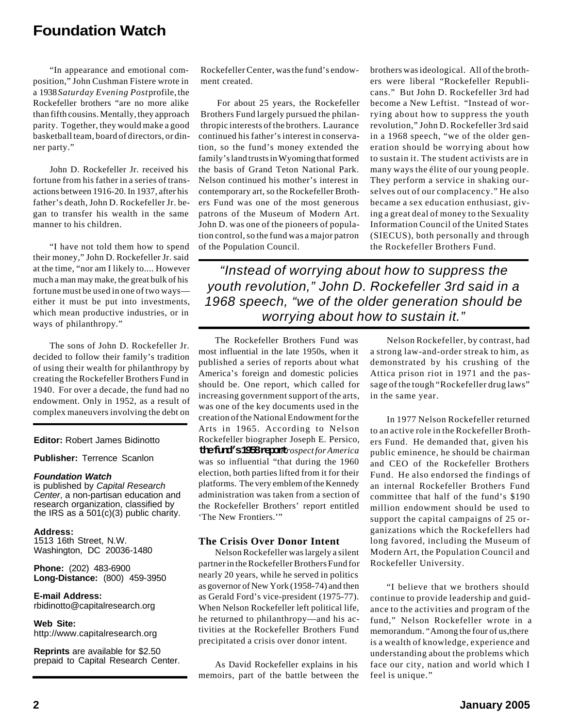"In appearance and emotional composition," John Cushman Fistere wrote in a 1938 *Saturday Evening Post* profile, the Rockefeller brothers "are no more alike than fifth cousins. Mentally, they approach parity. Together, they would make a good basketball team, board of directors, or dinner party."

John D. Rockefeller Jr. received his fortune from his father in a series of transactions between 1916-20. In 1937, after his father's death, John D. Rockefeller Jr. began to transfer his wealth in the same manner to his children.

"I have not told them how to spend their money," John D. Rockefeller Jr. said at the time, "nor am I likely to.... However much a man may make, the great bulk of his fortune must be used in one of two ways either it must be put into investments, which mean productive industries, or in ways of philanthropy."

The sons of John D. Rockefeller Jr. decided to follow their family's tradition of using their wealth for philanthropy by creating the Rockefeller Brothers Fund in 1940. For over a decade, the fund had no endowment. Only in 1952, as a result of complex maneuvers involving the debt on

**Editor:** Robert James Bidinotto

**Publisher:** Terrence Scanlon

#### *Foundation Watch*

is published by *Capital Research Center*, a non-partisan education and research organization, classified by the IRS as a  $501(c)(3)$  public charity.

**Address:** 1513 16th Street, N.W. Washington, DC 20036-1480

**Phone:** (202) 483-6900 **Long-Distance:** (800) 459-3950

**E-mail Address:** rbidinotto@capitalresearch.org

**Web Site:** http://www.capitalresearch.org

**Reprints** are available for \$2.50 prepaid to Capital Research Center. Rockefeller Center, was the fund's endowment created.

For about 25 years, the Rockefeller Brothers Fund largely pursued the philanthropic interests of the brothers. Laurance continued his father's interest in conservation, so the fund's money extended the family's land trusts in Wyoming that formed the basis of Grand Teton National Park. Nelson continued his mother's interest in contemporary art, so the Rockefeller Brothers Fund was one of the most generous patrons of the Museum of Modern Art. John D. was one of the pioneers of population control, so the fund was a major patron of the Population Council.

brothers was ideological. All of the brothers were liberal "Rockefeller Republicans." But John D. Rockefeller 3rd had become a New Leftist. "Instead of worrying about how to suppress the youth revolution," John D. Rockefeller 3rd said in a 1968 speech, "we of the older generation should be worrying about how to sustain it. The student activists are in many ways the élite of our young people. They perform a service in shaking ourselves out of our complacency." He also became a sex education enthusiast, giving a great deal of money to the Sexuality Information Council of the United States (SIECUS), both personally and through the Rockefeller Brothers Fund.

*"Instead of worrying about how to suppress the youth revolution," John D. Rockefeller 3rd said in a 1968 speech, "we of the older generation should be worrying about how to sustain it."*

The Rockefeller Brothers Fund was most influential in the late 1950s, when it published a series of reports about what America's foreign and domestic policies should be. One report, which called for increasing government support of the arts, was one of the key documents used in the creation of the National Endowment for the Arts in 1965. According to Nelson Rockefeller biographer Joseph E. Persico, **the fund's 1958 report** *Prospect for America* was so influential "that during the 1960 election, both parties lifted from it for their platforms. The very emblem of the Kennedy administration was taken from a section of the Rockefeller Brothers' report entitled 'The New Frontiers.'"

#### **The Crisis Over Donor Intent**

Nelson Rockefeller was largely a silent partner in the Rockefeller Brothers Fund for nearly 20 years, while he served in politics as governor of New York (1958-74) and then as Gerald Ford's vice-president (1975-77). When Nelson Rockefeller left political life, he returned to philanthropy—and his activities at the Rockefeller Brothers Fund precipitated a crisis over donor intent.

As David Rockefeller explains in his memoirs, part of the battle between the

Nelson Rockefeller, by contrast, had a strong law-and-order streak to him, as demonstrated by his crushing of the Attica prison riot in 1971 and the passage of the tough "Rockefeller drug laws" in the same year.

In 1977 Nelson Rockefeller returned to an active role in the Rockefeller Brothers Fund. He demanded that, given his public eminence, he should be chairman and CEO of the Rockefeller Brothers Fund. He also endorsed the findings of an internal Rockefeller Brothers Fund committee that half of the fund's \$190 million endowment should be used to support the capital campaigns of 25 organizations which the Rockefellers had long favored, including the Museum of Modern Art, the Population Council and Rockefeller University.

"I believe that we brothers should continue to provide leadership and guidance to the activities and program of the fund," Nelson Rockefeller wrote in a memorandum. "Among the four of us, there is a wealth of knowledge, experience and understanding about the problems which face our city, nation and world which I feel is unique."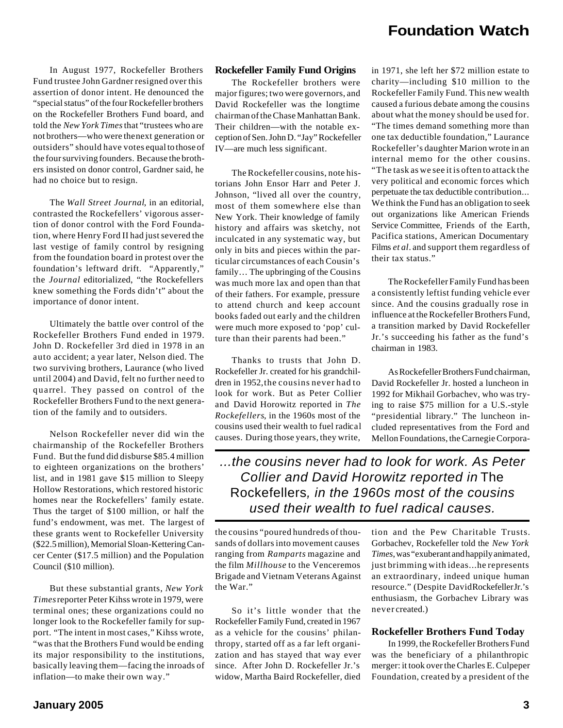In August 1977, Rockefeller Brothers Fund trustee John Gardner resigned over this assertion of donor intent. He denounced the "special status" of the four Rockefeller brothers on the Rockefeller Brothers Fund board, and told the *New York Times* that "trustees who are not brothers—who were the next generation or outsiders" should have votes equal to those of the four surviving founders. Because the brothers insisted on donor control, Gardner said, he had no choice but to resign.

The *Wall Street Journal*, in an editorial, contrasted the Rockefellers' vigorous assertion of donor control with the Ford Foundation, where Henry Ford II had just severed the last vestige of family control by resigning from the foundation board in protest over the foundation's leftward drift. "Apparently," the *Journal* editorialized, "the Rockefellers knew something the Fords didn't" about the importance of donor intent.

Ultimately the battle over control of the Rockefeller Brothers Fund ended in 1979. John D. Rockefeller 3rd died in 1978 in an auto accident; a year later, Nelson died. The two surviving brothers, Laurance (who lived until 2004) and David, felt no further need to quarrel. They passed on control of the Rockefeller Brothers Fund to the next generation of the family and to outsiders.

Nelson Rockefeller never did win the chairmanship of the Rockefeller Brothers Fund. But the fund did disburse \$85.4 million to eighteen organizations on the brothers' list, and in 1981 gave \$15 million to Sleepy Hollow Restorations, which restored historic homes near the Rockefellers' family estate. Thus the target of \$100 million, or half the fund's endowment, was met. The largest of these grants went to Rockefeller University (\$22.5 million), Memorial Sloan-Kettering Cancer Center (\$17.5 million) and the Population Council (\$10 million).

But these substantial grants, *New York Times* reporter Peter Kihss wrote in 1979, were terminal ones; these organizations could no longer look to the Rockefeller family for support. "The intent in most cases," Kihss wrote, "was that the Brothers Fund would be ending its major responsibility to the institutions, basically leaving them—facing the inroads of inflation—to make their own way."

#### **Rockefeller Family Fund Origins**

The Rockefeller brothers were major figures; two were governors, and David Rockefeller was the longtime chairman of the Chase Manhattan Bank. Their children—with the notable exception of Sen. John D. "Jay" Rockefeller IV—are much less significant.

The Rockefeller cousins, note historians John Ensor Harr and Peter J. Johnson, "lived all over the country, most of them somewhere else than New York. Their knowledge of family history and affairs was sketchy, not inculcated in any systematic way, but only in bits and pieces within the particular circumstances of each Cousin's family… The upbringing of the Cousins was much more lax and open than that of their fathers. For example, pressure to attend church and keep account books faded out early and the children were much more exposed to 'pop' culture than their parents had been."

Thanks to trusts that John D. Rockefeller Jr. created for his grandchildren in 1952, the cousins never had to look for work. But as Peter Collier and David Horowitz reported in *The Rockefellers*, in the 1960s most of the cousins used their wealth to fuel radical causes. During those years, they write,

in 1971, she left her \$72 million estate to charity—including \$10 million to the Rockefeller Family Fund. This new wealth caused a furious debate among the cousins about what the money should be used for. "The times demand something more than one tax deductible foundation," Laurance Rockefeller's daughter Marion wrote in an internal memo for the other cousins. "The task as we see it is often to attack the very political and economic forces which perpetuate the tax deductible contribution... We think the Fund has an obligation to seek out organizations like American Friends Service Committee, Friends of the Earth, Pacifica stations, American Documentary Films *et al*. and support them regardless of their tax status."

The Rockefeller Family Fund has been a consistently leftist funding vehicle ever since. And the cousins gradually rose in influence at the Rockefeller Brothers Fund, a transition marked by David Rockefeller Jr.'s succeeding his father as the fund's chairman in 1983.

As Rockefeller Brothers Fund chairman, David Rockefeller Jr. hosted a luncheon in 1992 for Mikhail Gorbachev, who was trying to raise \$75 million for a U.S.-style "presidential library." The luncheon included representatives from the Ford and Mellon Foundations, the Carnegie Corpora-

*...the cousins never had to look for work. As Peter Collier and David Horowitz reported in* The Rockefellers*, in the 1960s most of the cousins used their wealth to fuel radical causes.*

the cousins "poured hundreds of thousands of dollars into movement causes ranging from *Ramparts* magazine and the film *Millhouse* to the Venceremos Brigade and Vietnam Veterans Against the War."

So it's little wonder that the Rockefeller Family Fund, created in 1967 as a vehicle for the cousins' philanthropy, started off as a far left organization and has stayed that way ever since. After John D. Rockefeller Jr.'s widow, Martha Baird Rockefeller, died

tion and the Pew Charitable Trusts. Gorbachev, Rockefeller told the *New York Times*, was "exuberant and happily animated, just brimming with ideas...he represents an extraordinary, indeed unique human resource." (Despite David Rockefeller Jr.'s enthusiasm, the Gorbachev Library was never created.)

#### **Rockefeller Brothers Fund Today**

In 1999, the Rockefeller Brothers Fund was the beneficiary of a philanthropic merger: it took over the Charles E. Culpeper Foundation, created by a president of the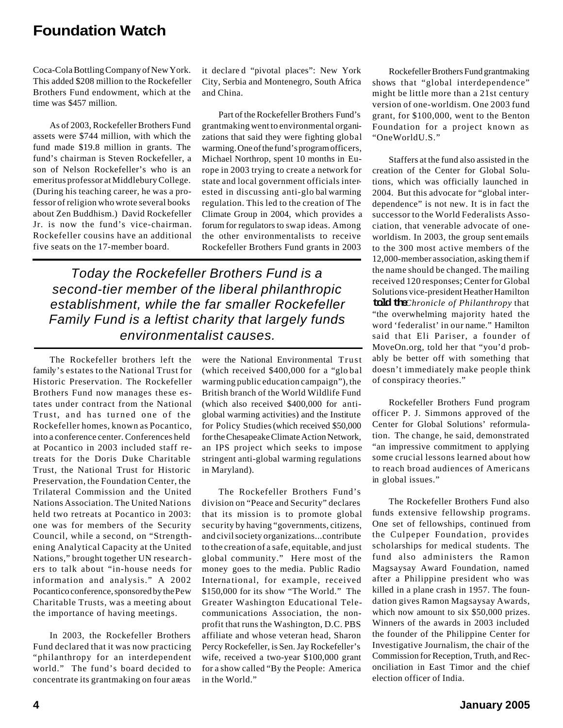Coca-Cola Bottling Company of New York. This added \$208 million to the Rockefeller Brothers Fund endowment, which at the time was \$457 million.

As of 2003, Rockefeller Brothers Fund assets were \$744 million, with which the fund made \$19.8 million in grants. The fund's chairman is Steven Rockefeller, a son of Nelson Rockefeller's who is an emeritus professor at Middlebury College. (During his teaching career, he was a professor of religion who wrote several books about Zen Buddhism.) David Rockefeller Jr. is now the fund's vice-chairman. Rockefeller cousins have an additional five seats on the 17-member board.

it declare d "pivotal places": New York City, Serbia and Montenegro, South Africa and China.

Part of the Rockefeller Brothers Fund's grantmaking went to environmental organizations that said they were fighting global warming. One of the fund's program officers, Michael Northrop, spent 10 months in Europe in 2003 trying to create a network for state and local government officials interested in discussing anti-glo bal warming regulation. This led to the creation of The Climate Group in 2004, which provides a forum for regulators to swap ideas. Among the other environmentalists to receive Rockefeller Brothers Fund grants in 2003

*Today the Rockefeller Brothers Fund is a second-tier member of the liberal philanthropic establishment, while the far smaller Rockefeller Family Fund is a leftist charity that largely funds environmentalist causes.*

The Rockefeller brothers left the family's estates to the National Trust for Historic Preservation. The Rockefeller Brothers Fund now manages these estates under contract from the National Trust, and has turned one of the Rockefeller homes, known as Pocantico, into a conference center. Conferences held at Pocantico in 2003 included staff retreats for the Doris Duke Charitable Trust, the National Trust for Historic Preservation, the Foundation Center, the Trilateral Commission and the United Nations Association. The United Nations held two retreats at Pocantico in 2003: one was for members of the Security Council, while a second, on "Strengthening Analytical Capacity at the United Nations," brought together UN researchers to talk about "in-house needs for information and analysis." A 2002 Pocantico conference, sponsored by the Pew Charitable Trusts, was a meeting about the importance of having meetings.

In 2003, the Rockefeller Brothers Fund declared that it was now practicing "philanthropy for an interdependent world." The fund's board decided to concentrate its grantmaking on four areas were the National Environmental Trust (which received \$400,000 for a "glo bal warming public education campaign"), the British branch of the World Wildlife Fund (which also received \$400,000 for antiglobal warming activities) and the Institute for Policy Studies (which received \$50,000 for the Chesapeake Climate Action Network, an IPS project which seeks to impose stringent anti-global warming regulations in Maryland).

The Rockefeller Brothers Fund's division on "Peace and Security" declares that its mission is to promote global security by having "governments, citizens, and civil society organizations...contribute to the creation of a safe, equitable, and just global community." Here most of the money goes to the media. Public Radio Interna tional, for example, received \$150,000 for its show "The World." The Greater Washington Educational Telecommunications Association, the nonprofit that runs the Washington, D.C. PBS affiliate and whose veteran head, Sharon Percy Rockefeller, is Sen. Jay Rockefeller's wife, received a two-year \$100,000 grant for a show called "By the People: America in the World."

Rockefeller Brothers Fund grantmaking shows that "global interdependence" might be little more than a 21st century version of one-worldism. One 2003 fund grant, for \$100,000, went to the Benton Foundation for a project known as "OneWorldU.S."

Staffers at the fund also assisted in the creation of the Center for Global Solutions, which was officially launched in 2004. But this advocate for "global interdependence" is not new. It is in fact the successor to the World Federalists Association, that venerable advocate of oneworldism. In 2003, the group sent emails to the 300 most active members of the 12,000-member association, asking them if the name should be changed. The mailing received 120 responses; Center for Global Solutions vice-president Heather Hamilton **told the** *Chronicle of Philanthropy* that "the overwhelming majority hated the word 'federalist' in our name." Hamilton said that Eli Pariser, a founder of MoveOn.org, told her that "you'd probably be better off with something that doesn't immediately make people think of conspiracy theories."

Rockefeller Brothers Fund program officer P. J. Simmons approved of the Center for Global Solutions' reformulation. The change, he said, demonstrated "an impressive commitment to applying some crucial lessons learned about how to reach broad audiences of Americans in global issues."

The Rockefeller Brothers Fund also funds extensive fellowship programs. One set of fellowships, continued from the Culpeper Foundation, provides scholarships for medical students. The fund also administers the Ramon Magsaysay Award Foundation, named after a Philippine president who was killed in a plane crash in 1957. The foundation gives Ramon Magsaysay Awards, which now amount to six \$50,000 prizes. Winners of the awards in 2003 included the founder of the Philippine Center for Investigative Journalism, the chair of the Commission for Reception, Truth, and Reconciliation in East Timor and the chief election officer of India.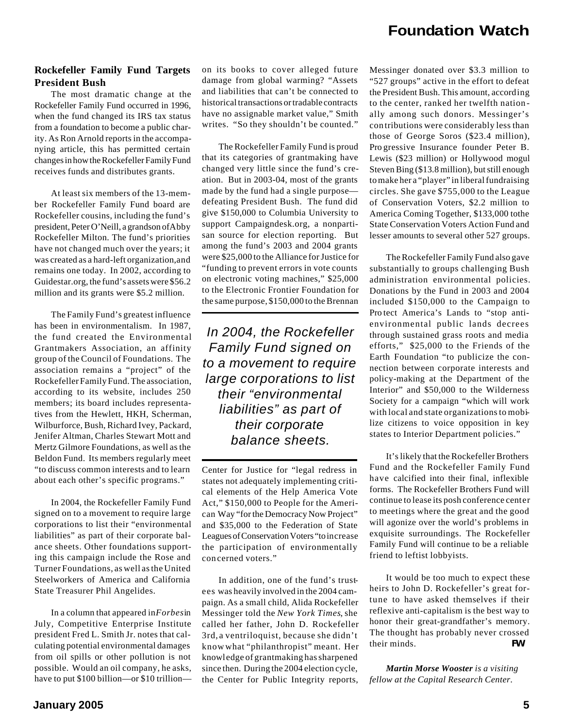#### **Rockefeller Family Fund Targets President Bush**

The most dramatic change at the Rockefeller Family Fund occurred in 1996, when the fund changed its IRS tax status from a foundation to become a public charity. As Ron Arnold reports in the accompanying article, this has permitted certain changes in how the Rockefeller Family Fund receives funds and distributes grants.

At least six members of the 13-member Rockefeller Family Fund board are Rockefeller cousins, including the fund's president, Peter O'Neill, a grandson of Abby Rockefeller Milton. The fund's priorities have not changed much over the years; it was created as a hard-left organization, and remains one today. In 2002, according to Guidestar.org, the fund's assets were \$56.2 million and its grants were \$5.2 million.

The Family Fund's greatest influence has been in environmentalism. In 1987, the fund created the Environmental Grantmakers Association, an affinity group of the Council of Foundations. The association remains a "project" of the Rockefeller Family Fund. The association, according to its website, includes 250 members; its board includes representatives from the Hewlett, HKH, Scherman, Wilburforce, Bush, Richard Ivey, Packard, Jenifer Altman, Charles Stewart Mott and Mertz Gilmore Foundations, as well as the Beldon Fund. Its members regularly meet "to discuss common interests and to learn about each other's specific programs."

In 2004, the Rockefeller Family Fund signed on to a movement to require large corporations to list their "environmental liabilities" as part of their corporate balance sheets. Other foundations supporting this campaign include the Rose and Turner Foundations, as well as the United Steelworkers of America and California State Treasurer Phil Angelides.

In a column that appeared in *Forbes* in July, Competitive Enterprise Institute president Fred L. Smith Jr. notes that calculating potential environmental damages from oil spills or other pollution is not possible. Would an oil company, he asks, have to put \$100 billion—or \$10 trillionon its books to cover alleged future damage from global warming? "Assets and liabilities that can't be connected to historical transactions or tradable contracts have no assignable market value," Smith writes. "So they shouldn't be counted."

The Rockefeller Family Fund is proud that its categories of grantmaking have changed very little since the fund's creation. But in 2003-04, most of the grants made by the fund had a single purpose defeating President Bush. The fund did give \$150,000 to Columbia University to support Campaigndesk.org, a nonpartisan source for election reporting. But among the fund's 2003 and 2004 grants were \$25,000 to the Alliance for Justice for "funding to prevent errors in vote counts on electronic voting machines," \$25,000 to the Electronic Frontier Foundation for the same purpose, \$150,000 to the Brennan

*In 2004, the Rockefeller Family Fund signed on to a movement to require large corporations to list their "environmental liabilities" as part of their corporate balance sheets.*

Center for Justice for "legal redress in states not adequately implementing critical elements of the Help America Vote Act," \$150,000 to People for the American Way "for the Democracy Now Project" and \$35,000 to the Federation of State Leagues of Conservation Voters "to increase the participation of environmentally con cerned voters."

In addition, one of the fund's trustees was heavily involved in the 2004 campaign. As a small child, Alida Rockefeller Messinger told the *New York Times*, she called her father, John D. Rockefeller 3rd, a ventriloquist, because she didn't know what "philanthropist" meant. Her knowledge of grantmaking has sharpened since then. During the 2004 election cycle, the Center for Public Integrity reports,

Messinger donated over \$3.3 million to "527 groups" active in the effort to defeat the President Bush. This amount, according to the center, ranked her twelfth nation ally among such donors. Messinger's con tributions were considerably less than those of George Soros (\$23.4 million), Pro gressive Insurance founder Peter B. Lewis (\$23 million) or Hollywood mogul Steven Bing (\$13.8 million), but still enough to make her a "player" in liberal fundraising circles. She gave \$755,000 to the League of Conservation Voters, \$2.2 million to America Coming Together, \$133,000 to the State Conservation Voters Action Fund and lesser amounts to several other 527 groups.

The Rockefeller Family Fund also gave substantially to groups challenging Bush administration environmental policies. Donations by the Fund in 2003 and 2004 included \$150,000 to the Campaign to Pro tect America's Lands to "stop antienvironmental public lands decrees through sustained grass roots and media efforts," \$25,000 to the Friends of the Earth Foundation "to publicize the connection between corporate interests and policy-making at the Department of the Interior" and \$50,000 to the Wilderness Society for a campaign "which will work with local and state organizations to mobilize citizens to voice opposition in key states to Interior Department policies."

It's likely that the Rockefeller Brothers Fund and the Rockefeller Family Fund have calcified into their final, inflexible forms. The Rockefeller Brothers Fund will continue to lease its posh conference center to meetings where the great and the good will agonize over the world's problems in exquisite surroundings. The Rockefeller Family Fund will continue to be a reliable friend to leftist lobbyists.

It would be too much to expect these heirs to John D. Rockefeller's great fortune to have asked themselves if their reflexive anti-capitalism is the best way to honor their great-grandfather's memory. The thought has probably never crossed their minds. *FW*

*Martin Morse Wooster is a visiting fellow at the Capital Research Center.*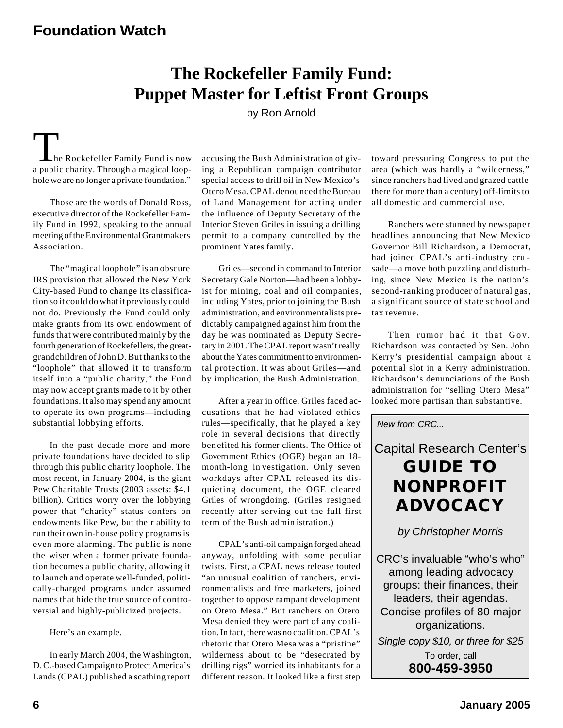# **The Rockefeller Family Fund: Puppet Master for Leftist Front Groups**

by Ron Arnold

 $\blacksquare$  he Rockefeller Family Fund is now a public charity. Through a magical loophole we are no longer a private foundation."

Those are the words of Donald Ross, executive director of the Rockefeller Family Fund in 1992, speaking to the annual meeting of the Environmental Grantmakers Association.

The "magical loophole" is an obscure IRS provision that allowed the New York City-based Fund to change its classification so it could do what it previously could not do. Previously the Fund could only make grants from its own endowment of funds that were contributed mainly by the fourth generation of Rockefellers, the greatgrandchildren of John D. But thanks to the "loophole" that allowed it to transform itself into a "public charity," the Fund may now accept grants made to it by other foundations. It also may spend any amount to operate its own programs—including substantial lobbying efforts.

In the past decade more and more private foundations have decided to slip through this public charity loophole. The most recent, in January 2004, is the giant Pew Charitable Trusts (2003 assets: \$4.1 billion). Critics worry over the lobbying power that "charity" status confers on endowments like Pew, but their ability to run their own in-house policy programs is even more alarming. The public is none the wiser when a former private foundation becomes a public charity, allowing it to launch and operate well-funded, politically-charged programs under assumed names that hide the true source of controversial and highly-publicized projects.

Here's an example.

In early March 2004, the Washington, D. C.-based Campaign to Protect America's Lands (CPAL) published a scathing report

accusing the Bush Administration of giving a Republican campaign contributor special access to drill oil in New Mexico's Otero Mesa. CPAL denounced the Bureau of Land Management for acting under the influence of Deputy Secretary of the Interior Steven Griles in issuing a drilling permit to a company controlled by the prominent Yates family.

Griles—second in command to Interior Secretary Gale Norton—had been a lobbyist for mining, coal and oil companies, including Yates, prior to joining the Bush administration, and environmentalists predictably campaigned against him from the day he was nominated as Deputy Secretary in 2001. The CPAL report wasn't really about the Yates commitment to environmental protection. It was about Griles—and by implication, the Bush Administration.

After a year in office, Griles faced accusations that he had violated ethics rules—specifically, that he played a key role in several decisions that directly ben efited his former clients. The Office of Government Ethics (OGE) began an 18 month-long in vestigation. Only seven workdays after CPAL released its disquieting document, the OGE cleared Griles of wrongdoing. (Griles resigned recently after serving out the full first term of the Bush admin istration.)

CPAL's anti-oil campaign forged ahead anyway, unfolding with some peculiar twists. First, a CPAL news release touted "an unusual coalition of ranchers, environmentalists and free marketers, joined together to oppose rampant development on Otero Mesa." But ranchers on Otero Mesa denied they were part of any coalition. In fact, there was no coalition. CPAL's rhetoric that Otero Mesa was a "pristine" wilderness about to be "desecrated by drilling rigs" worried its inhabitants for a different reason. It looked like a first step

toward pressuring Congress to put the area (which was hardly a "wilderness," since ranchers had lived and grazed cattle there for more than a century) off-limits to all domestic and commercial use.

Ranchers were stunned by newspaper headlines announcing that New Mexico Governor Bill Richardson, a Democrat, had joined CPAL's anti-industry cru sade—a move both puzzling and disturbing, since New Mexico is the nation's second-ranking producer of natural gas, a significant source of state school and tax revenue.

Then rumor had it that Gov. Richardson was contacted by Sen. John Kerry's presidential campaign about a potential slot in a Kerry administration. Richardson's denunciations of the Bush administration for "selling Otero Mesa" looked more partisan than substantive.

*New from CRC...*

# Capital Research Center's **GUIDE TO NONPROFIT ADVOCACY**

*by Christopher Morris*

CRC's invaluable "who's who" among leading advocacy groups: their finances, their leaders, their agendas. Concise profiles of 80 major organizations. *Single copy \$10, or three for \$25*

> To order, call **800-459-3950**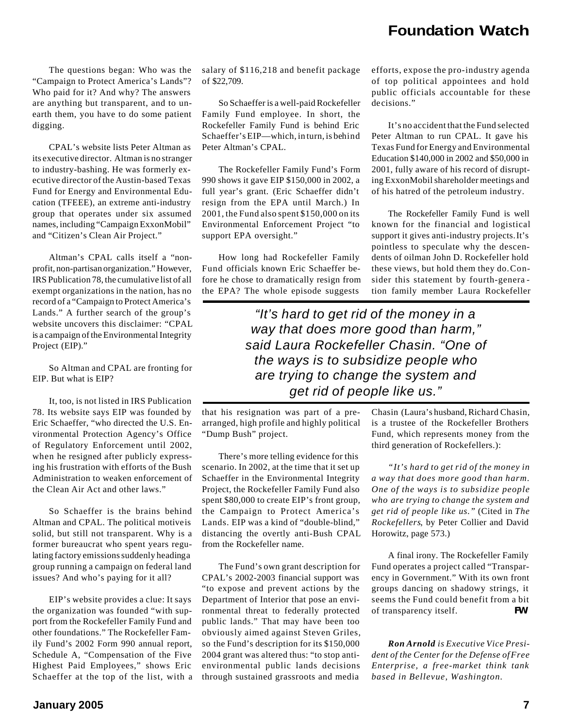The questions began: Who was the "Campaign to Protect America's Lands"? Who paid for it? And why? The answers are anything but transparent, and to unearth them, you have to do some patient digging.

CPAL's website lists Peter Altman as its executive director. Altman is no stranger to industry-bashing. He was formerly executive director of the Austin-based Texas Fund for Energy and Environmental Education (TFEEE), an extreme anti-industry group that operates under six assumed names, including "Campaign ExxonMobil" and "Citizen's Clean Air Project."

Altman's CPAL calls itself a "nonprofit, non-partisan organization." However, IRS Publication 78, the cumulative list of all exempt organizations in the nation, has no record of a "Campaign to Protect America's Lands." A further search of the group's website uncovers this disclaimer: "CPAL is a campaign of the Environmental Integrity Project (EIP)."

So Altman and CPAL are fronting for EIP. But what is EIP?

It, too, is not listed in IRS Publication 78. Its website says EIP was founded by Eric Schaeffer, "who directed the U.S. Environmental Protection Agency's Office of Regulatory Enforcement until 2002, when he resigned after publicly expressing his frustration with efforts of the Bush Administration to weaken enforcement of the Clean Air Act and other laws."

So Schaeffer is the brains behind Altman and CPAL. The political motive is solid, but still not transparent. Why is a former bureaucrat who spent years regulating factory emissions suddenly heading a group running a campaign on federal land issues? And who's paying for it all?

EIP's website provides a clue: It says the organization was founded "with support from the Rockefeller Family Fund and other foundations." The Rockefeller Family Fund's 2002 Form 990 annual report, Schedule A, "Compensation of the Five Highest Paid Employees," shows Eric Schaeffer at the top of the list, with a salary of \$116,218 and benefit package of \$22,709.

So Schaeffer is a well-paid Rockefeller Family Fund employee. In short, the Rockefeller Family Fund is behind Eric Schaeffer's EIP—which, in turn, is behind Peter Altman's CPAL.

The Rockefeller Family Fund's Form 990 shows it gave EIP \$150,000 in 2002, a full year's grant. (Eric Schaeffer didn't resign from the EPA until March.) In 2001, the Fund also spent \$150,000 on its Environmental Enforcement Project "to support EPA oversight."

How long had Rockefeller Family Fund officials known Eric Schaeffer before he chose to dramatically resign from the EPA? The whole episode suggests

efforts, expose the pro-industry agenda of top political appointees and hold public officials accountable for these decisions."

It's no accident that the Fund selected Peter Altman to run CPAL. It gave his Texas Fund for Energy and Environmental Education \$140,000 in 2002 and \$50,000 in 2001, fully aware of his record of disrupting ExxonMobil shareholder meetings and of his hatred of the petroleum industry.

The Rockefeller Family Fund is well known for the financial and logistical support it gives anti-industry projects. It's pointless to speculate why the descendents of oilman John D. Rockefeller hold these views, but hold them they do. Consider this statement by fourth-genera tion family member Laura Rockefeller

*"It's hard to get rid of the money in a way that does more good than harm," said Laura Rockefeller Chasin. "One of the ways is to subsidize people who are trying to change the system and get rid of people like us."*

that his resignation was part of a prearranged, high profile and highly political "Dump Bush" project.

There's more telling evidence for this scenario. In 2002, at the time that it set up Schaeffer in the Environmental Integrity Project, the Rockefeller Family Fund also spent \$80,000 to create EIP's front group, the Campaign to Protect America's Lands. EIP was a kind of "double-blind," distancing the overtly anti-Bush CPAL from the Rockefeller name.

The Fund's own grant description for CPAL's 2002-2003 financial support was "to expose and prevent actions by the Department of Interior that pose an environmental threat to federally protected public lands." That may have been too obviously aimed against Steven Griles, so the Fund's description for its \$150,000 2004 grant was altered thus: "to stop antienvironmental public lands decisions through sustained grassroots and media

Chasin (Laura's husband, Richard Chasin, is a trustee of the Rockefeller Brothers Fund, which represents money from the third generation of Rockefellers.):

*"It's hard to get rid of the money in a way that does more good than harm. One of the ways is to subsidize people who are trying to change the system and get rid of people like us."* (Cited in *The Rockefellers*, by Peter Collier and David Horowitz, page 573.)

A final irony. The Rockefeller Family Fund operates a project called "Transparency in Government." With its own front groups dancing on shadowy strings, it seems the Fund could benefit from a bit of transparency itself. *FW*

*Ron Arnold is Executive Vice President of the Center for the Defense of Free Enterprise, a free-market think tank based in Bellevue, Washington.*